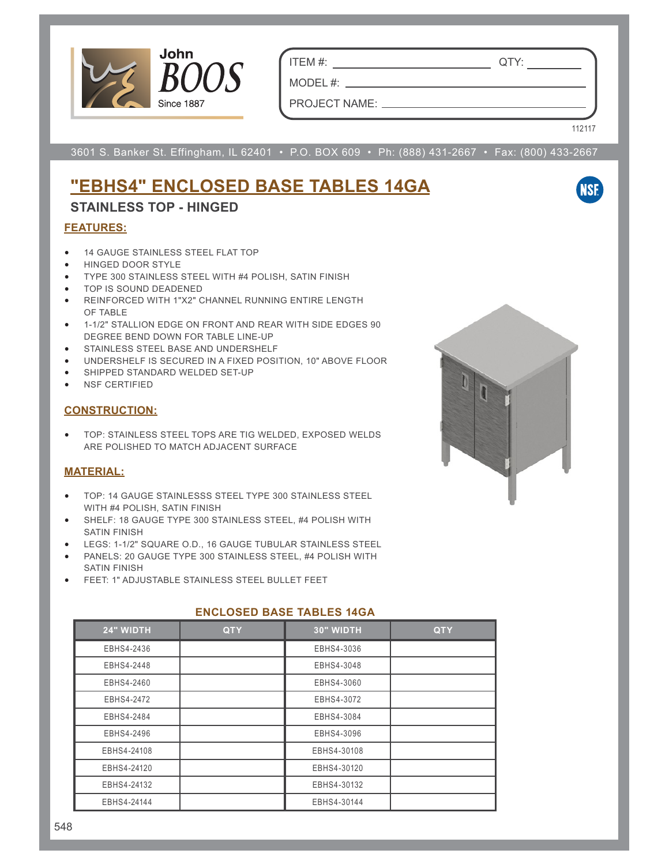

ITEM #: QTY:

MODEL #: PROJECT NAME:

112117

**NSF** 

3601 S. Banker St. Effingham, IL 62401 • P.O. BOX 609 • Ph: (888) 431-2667 • Fax: (800) 433-2667

# **"EBHS4" ENCLOSED BASE TABLES 14GA**

### **STAINLESS TOP - HINGED**

#### **FEATURES:**

- 14 GAUGE STAINLESS STEEL FLAT TOP
- HINGED DOOR STYLE
- TYPE 300 STAINLESS STEEL WITH #4 POLISH, SATIN FINISH
- TOP IS SOUND DEADENED
- REINFORCED WITH 1"X2" CHANNEL RUNNING ENTIRE LENGTH OF TABLE
- 1-1/2" STALLION EDGE ON FRONT AND REAR WITH SIDE EDGES 90 DEGREE BEND DOWN FOR TABLE LINE-UP
- STAINLESS STEEL BASE AND UNDERSHELF
- UNDERSHELF IS SECURED IN A FIXED POSITION, 10" ABOVE FLOOR
- SHIPPED STANDARD WELDED SET-UP
- NSF CERTIFIED

#### **CONSTRUCTION:**

• TOP: STAINLESS STEEL TOPS ARE TIG WELDED, EXPOSED WELDS ARE POLISHED TO MATCH ADJACENT SURFACE

### **MATERIAL:**

- TOP: 14 GAUGE STAINLESSS STEEL TYPE 300 STAINLESS STEEL WITH #4 POLISH, SATIN FINISH
- SHELF: 18 GAUGE TYPE 300 STAINLESS STEEL, #4 POLISH WITH SATIN FINISH
- LEGS: 1-1/2" SQUARE O.D., 16 GAUGE TUBULAR STAINLESS STEEL
- PANELS: 20 GAUGE TYPE 300 STAINLESS STEEL, #4 POLISH WITH SATIN FINISH
- FEET: 1" ADJUSTABLE STAINLESS STEEL BULLET FEET

| 24" WIDTH   | <b>QTY</b> | 30" WIDTH   | <b>QTY</b> |  |  |  |
|-------------|------------|-------------|------------|--|--|--|
| EBHS4-2436  |            | EBHS4-3036  |            |  |  |  |
| EBHS4-2448  |            | EBHS4-3048  |            |  |  |  |
| EBHS4-2460  |            | EBHS4-3060  |            |  |  |  |
| EBHS4-2472  |            | EBHS4-3072  |            |  |  |  |
| EBHS4-2484  |            | EBHS4-3084  |            |  |  |  |
| EBHS4-2496  |            | EBHS4-3096  |            |  |  |  |
| EBHS4-24108 |            | EBHS4-30108 |            |  |  |  |
| EBHS4-24120 |            | EBHS4-30120 |            |  |  |  |
| EBHS4-24132 |            | EBHS4-30132 |            |  |  |  |
| EBHS4-24144 |            | EBHS4-30144 |            |  |  |  |

### **ENCLOSED BASE TABLES 14GA**